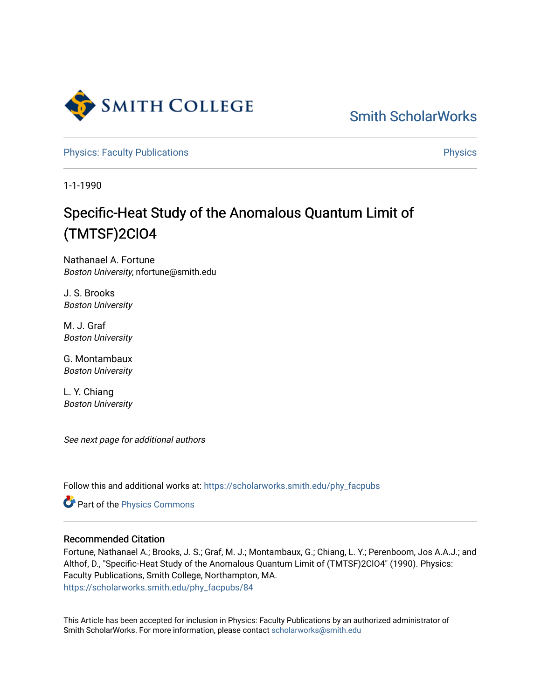

[Smith ScholarWorks](https://scholarworks.smith.edu/) 

[Physics: Faculty Publications](https://scholarworks.smith.edu/phy_facpubs) **Physics** Physics

1-1-1990

## Specific-Heat Study of the Anomalous Quantum Limit of (TMTSF)2ClO4

Nathanael A. Fortune Boston University, nfortune@smith.edu

J. S. Brooks Boston University

M. J. Graf Boston University

G. Montambaux Boston University

L. Y. Chiang Boston University

See next page for additional authors

Follow this and additional works at: [https://scholarworks.smith.edu/phy\\_facpubs](https://scholarworks.smith.edu/phy_facpubs?utm_source=scholarworks.smith.edu%2Fphy_facpubs%2F84&utm_medium=PDF&utm_campaign=PDFCoverPages)

Part of the [Physics Commons](http://network.bepress.com/hgg/discipline/193?utm_source=scholarworks.smith.edu%2Fphy_facpubs%2F84&utm_medium=PDF&utm_campaign=PDFCoverPages)

## Recommended Citation

Fortune, Nathanael A.; Brooks, J. S.; Graf, M. J.; Montambaux, G.; Chiang, L. Y.; Perenboom, Jos A.A.J.; and Althof, D., "Specific-Heat Study of the Anomalous Quantum Limit of (TMTSF)2ClO4" (1990). Physics: Faculty Publications, Smith College, Northampton, MA. [https://scholarworks.smith.edu/phy\\_facpubs/84](https://scholarworks.smith.edu/phy_facpubs/84?utm_source=scholarworks.smith.edu%2Fphy_facpubs%2F84&utm_medium=PDF&utm_campaign=PDFCoverPages) 

This Article has been accepted for inclusion in Physics: Faculty Publications by an authorized administrator of Smith ScholarWorks. For more information, please contact [scholarworks@smith.edu](mailto:scholarworks@smith.edu)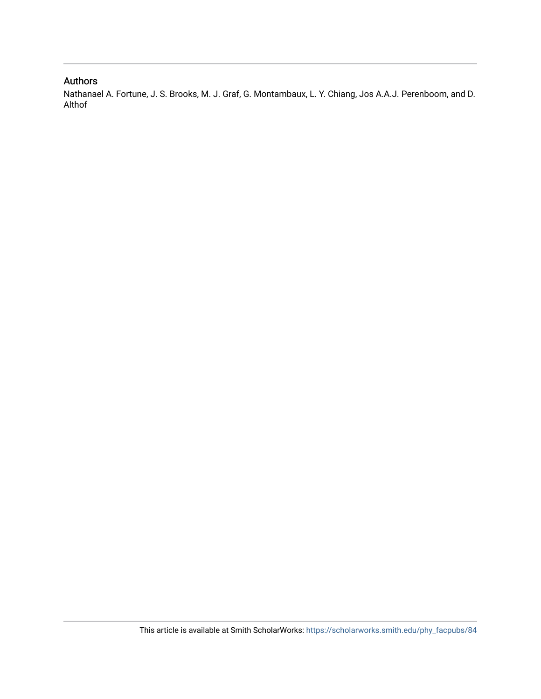## Authors

Nathanael A. Fortune, J. S. Brooks, M. J. Graf, G. Montambaux, L. Y. Chiang, Jos A.A.J. Perenboom, and D. Althof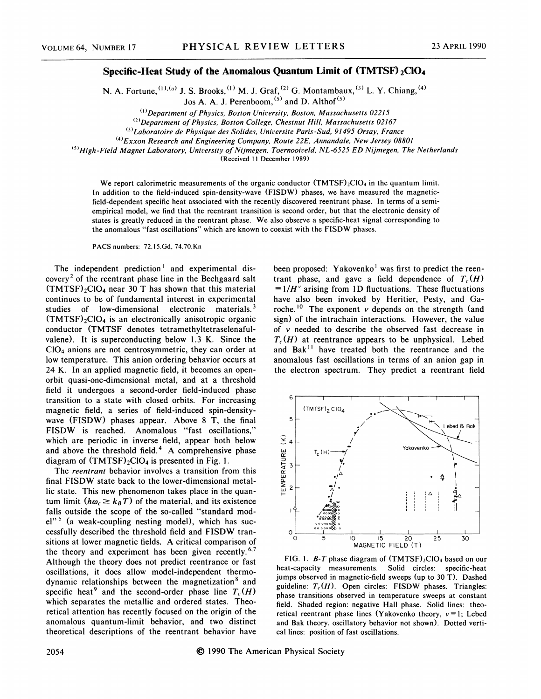## Specific-Heat Study of the Anomalous Quantum Limit of (TMTSF) 2Cl04

N. A. Fortune,  $(1)$ , (a) J. S. Brooks,  $(1)$  M. J. Graf,  $(2)$  G. Montambaux,  $(3)$  L. Y. Chiang

Jos A. A. J. Perenboom,  $(5)$  and D. Althof  $(5)$ 

 $(1)$ Department of Physics, Boston University, Boston, Massachusetts 02215

 $^{(2)}$ Department of Physics, Boston College, Chestnut Hill, Massachusetts 02167

<sup>(3)</sup>Laboratoire de Physique des Solides, Universite Paris-Sud, 91495 Orsay, France

 $^{(4)}$ Exxon Research and Engineering Company, Route 22E, Annandale, New Jersey 08801

<sup>(5)</sup>High-Field Magnet Laboratory, University of Nijmegen, Toernooiveld, NL-6525 ED Nijmegen, The Netherland

{Received 11 December 1989)

We report calorimetric measurements of the organic conductor (TMTSF)<sub>2</sub>ClO<sub>4</sub> in the quantum limit. In addition to the field-induced spin-density-wave (FISDW) phases, we have measured the magneticfield-dependent specific heat associated with the recently discovered reentrant phase. In terms of a semiempirical model, we find that the reentrant transition is second order, but that the electronic density of states is greatly reduced in the reentrant phase. We also observe a specific-heat signal corresponding to the anomalous "fast oscillations" which are known to coexist with the FISDW phases.

PACS numbers: 72.15.Gd, 74.70.Kn

The independent prediction<sup> $1$ </sup> and experimental discovery<sup>2</sup> of the reentrant phase line in the Bechgaard salt  $(TMTSF)_{2}ClO<sub>4</sub>$  near 30 T has shown that this material continues to be of fundamental interest in experimental studies of low-dimensional electronic materials.<sup>3</sup>  $(TMTSF)_{2}ClO_{4}$  is an electronically anisotropic organic conductor (TMTSF denotes tetramethyltetraselenafulvalene). It is superconducting below 1.3 K. Since the C104 anions are not centrosymmetric, they can order at low temperature. This anion ordering behavior occurs at 24 K. In an applied magnetic field, it becomes an openorbit quasi-one-dimensional metal, and at a threshold field it undergoes a second-order field-induced phase transition to a state with closed orbits. For increasing magnetic field, a series of field-induced spin-densitywave (FISDW) phases appear. Above 8 T, the final FISDW is reached. Anomalous "fast oscillations," which are periodic in inverse field, appear both below and above the threshold field.<sup>4</sup> A comprehensive phase diagram of  $(TMTSF)_2ClO_4$  is presented in Fig. 1.

The *reentrant* behavior involves a transition from this final FISDW state back to the lower-dimensional metallic state. This new phenomenon takes place in the quantum limit  $(h\omega_c \geq k_B T)$  of the material, and its existence falls outside the scope of the so-called "standard mod $el''$ <sup>5</sup> (a weak-coupling nesting model), which has successfully described the threshold field and FISDW transitions at lower magnetic fields. A critical comparison of the theory and experiment has been given recently.  $6.7$ Although the theory does not predict reentrance or fast oscillations, it does allow model-independent thermodynamic relationships between the magnetization<sup>8</sup> and specific heat<sup>9</sup> and the second-order phase line  $T_c(H)$ which separates the metallic and ordered states. Theoretical attention has recently focused on the origin of the anomalous quantum-limit behavior, and two distinct theoretical descriptions of the reentrant behavior have been proposed: Yakovenko<sup>1</sup> was first to predict the reentrant phase, and gave a field dependence of  $T_c(H)$  $=1/H^{\nu}$  arising from 1D fluctuations. These fluctuations have also been invoked by Heritier, Pesty, and Garoche. <sup>10</sup> The exponent  $\nu$  depends on the strength (and sign) of the intrachain interactions. However, the value of v needed to describe the observed fast decrease in  $T_c(H)$  at reentrance appears to be unphysical. Lebed and Bak<sup>11</sup> have treated both the reentrance and the anomalous fast oscillations in terms of an anion gap in the electron spectrum. They predict a reentrant field



FIG. 1.  $B$ -T phase diagram of  $(TMTSF)_{2}ClO<sub>4</sub>$  based on our heat-capacity measurements. Solid circles: specific-heat jumps observed in magnetic-field sweeps (up to 30 T). Dashed guideline:  $T_c(H)$ . Open circles: FISDW phases. Triangles: phase transitions observed in temperature sweeps at constant field. Shaded region: negative Hall phase. Solid lines: theoretical reentrant phase lines (Yakovenko theory,  $v=1$ ; Lebed and Bak theory, oscillatory behavior not shown). Dotted vertical lines: position of fast oscillations.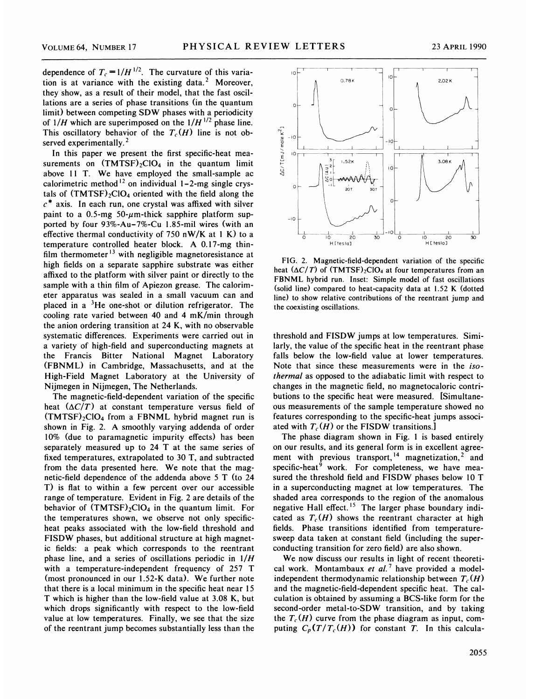dependence of  $T_c = 1/H^{1/2}$ . The curvature of this variation is at variance with the existing data.<sup>2</sup> Moreover, they show, as a result of their model, that the fast oscillations are a series of phase transitions (in the quantum limit) between competing SDW phases with a periodicity of  $1/H$  which are superimposed on the  $1/H^{1/2}$  phase line. This oscillatory behavior of the  $T_c(H)$  line is not observed experimentally. $2$ 

In this paper we present the first specific-heat measurements on  $(TMTSF)_{2}ClO_{4}$  in the quantum limit above 11 T. We have employed the small-sample ac calorimetric method<sup>12</sup> on individual  $1-2$ -mg single crystals of  $(TMTSF)_{2}ClO_{4}$  oriented with the field along the  $c^*$  axis. In each run, one crystal was affixed with silver paint to a 0.5-mg 50- $\mu$ m-thick sapphire platform supported by four 93%-Au-7%-Cu 1.85-mil wires (with an effective thermal conductivity of 750 nW/K at 1 K) to a temperature controlled heater block. A 0.17-mg thinfilm thermometer  $^{13}$  with negligible magnetoresistance at high fields on a separate sapphire substrate was either affixed to the platform with silver paint or directly to the sample with a thin film of Apiezon grease. The calorimeter apparatus was sealed in a small vacuum can and placed in a  ${}^{3}$ He one-shot or dilution refrigerator. The cooling rate varied between 40 and 4 mK/min through the anion ordering transition at 24 K, with no observable systematic differences. Experiments were carried out in a variety of high-field and superconducting magnets at the Francis Bitter National Magnet Laboratory (FBNML) in Cambridge, Massachusetts, and at the High-Field Magnet Laboratory at the University of Nijmegen in Nijmegen, The Netherlands.

The magnetic-field-dependent variation of the specific heat  $(\Delta C/T)$  at constant temperature versus field of  $(TMTSF)_{2}ClO<sub>4</sub>$  from a FBNML hybrid magnet run is shown in Fig. 2. A smoothly varying addenda of order 10% (due to paramagnetic impurity effects) has been separately measured up to 24 T at the same series of fixed temperatures, extrapolated to 30 T, and subtracted from the data presented here. We note that the magnetic-field dependence of the addenda above 5 T (to 24 T) is flat to within a few percent over our accessible range of temperature. Evident in Fig. 2 are details of the behavior of  $(TMTSF)_{2}ClO_{4}$  in the quantum limit. For the temperatures shown, we observe not only specificheat peaks associated with the low-field threshold and FISDW phases, but additional structure at high magnetic fields: a peak which corresponds to the reentrant phase line, and a series of oscillations periodic in 1/H with a temperature-independent frequency of 257 T (most pronounced in our 1.52-K data). We further note that there is a local minimum in the specific heat near 15 T which is higher than the low-field value at 3.08 K, but which drops significantly with respect to the low-field value at low temperatures. Finally, we see that the size of the reentrant jump becomes substantially less than the



FIG. 2. Magnetic-field-dependent variation of the specific heat  $(\Delta C/T)$  of  $(TMTSF)_{2}ClO_{4}$  at four temperatures from an FBNML hybrid run. Inset: Simple model of fast oscillations (solid line) compared to heat-capacity data at 1.52 K (dotted line) to show relative contributions of the reentrant jump and the coexisting oscillations.

threshold and FISDW jumps at low temperatures. Similarly, the value of the specific heat in the reentrant phase falls below the low-field value at lower temperatures. Note that since these measurements were in the isothermal as opposed to the adiabatic limit with respect to changes in the magnetic field, no magnetocaloric contributions to the specific heat were measured. [Simultaneous measurements of the sample temperature showed no features corresponding to the specific-heat jumps associated with  $T_c(H)$  or the FISDW transitions.

The phase diagram shown in Fig. <sup>1</sup> is based entirely on our results, and its general form is in excellent agreement with previous transport,  $14$  magnetization,  $2$  and specific-heat<sup>9</sup> work. For completeness, we have measured the threshold field and FISDW phases below 10 T in a superconducting magnet at low temperatures. The shaded area corresponds to the region of the anomalous negative Hall effect.<sup>15</sup> The larger phase boundary indicated as  $T_c(H)$  shows the reentrant character at high fields. Phase transitions identified from temperaturesweep data taken at constant field (including the superconducting transition for zero field) are also shown.

We now discuss our results in light of recent theoretical work. Montambaux et  $al$ .<sup>7</sup> have provided a modelindependent thermodynamic relationship between  $T_c(H)$ and the magnetic-field-dependent specific heat. The calculation is obtained by assuming a BCS-like form for the second-order metal-to-SDW transition, and by taking the  $T_c(H)$  curve from the phase diagram as input, computing  $C_p(T/T_c(H))$  for constant T. In this calcula-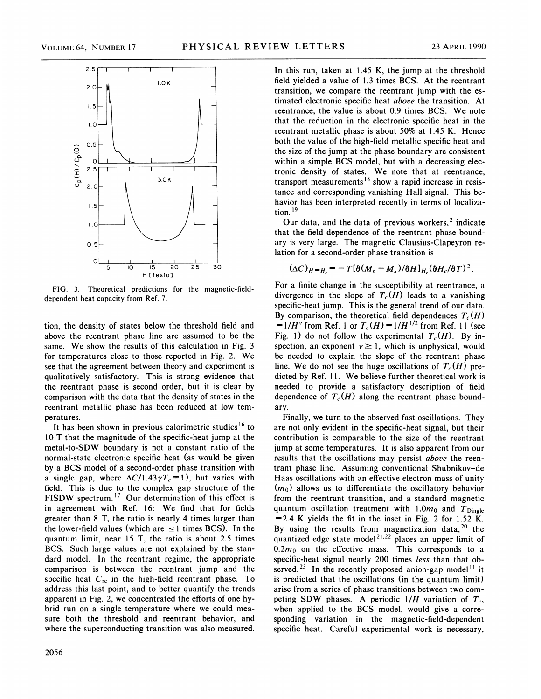

FIG. 3. Theoretical predictions for the magnetic-fielddependent heat capacity from Ref. 7.

tion, the density of states below the threshold field and above the reentrant phase line are assumed to be the same. We show the results of this calculation in Fig. 3 for temperatures close to those reported in Fig. 2. We see that the agreement between theory and experiment is qualitatively satisfactory. This is strong evidence that the reentrant phase is second order, but it is clear by comparison with the data that the density of states in the reentrant metallic phase has been reduced at low temperatures.

It has been shown in previous calorimetric studies<sup>16</sup> to 10 T that the magnitude of the specific-heat jump at the metal-to-SDW boundary is not a constant ratio of the normal-state electronic specific heat (as would be given by a BCS model of a second-order phase transition with a single gap, where  $\Delta C/1.43 \gamma T_c = 1$ , but varies with field. This is due to the complex gap structure of the FISDW spectrum.<sup>17</sup> Our determination of this effect is in agreement with Ref. 16: We find that for fields greater than 8 T, the ratio is nearly 4 times larger than the lower-field values (which are  $\leq 1$  times BCS). In the quantum limit, near 15 T, the ratio is about 2.5 times BCS. Such large values are not explained by the standard model. In the reentrant regime, the appropriate comparison is between the reentrant jump and the specific heat  $C_{\text{re}}$  in the high-field reentrant phase. To address this last point, and to better quantify the trends apparent in Fig. 2, we concentrated the efforts of one hybrid run on a single temperature where we could measure both the threshold and reentrant behavior, and where the superconducting transition was also measured.

In this run, taken at 1.45 K, the jump at the threshold field yielded a value of 1.3 times BCS. At the reentrant transition, we compare the reentrant jump with the estimated electronic specific heat above the transition. At reentrance, the value is about 0.9 times BCS. We note that the reduction in the electronic specific heat in the reentrant metallic phase is about 50% at 1.45 K. Hence both the value of the high-field metallic specific heat and the size of the jump at the phase boundary are consistent within a simple BCS model, but with a decreasing electronic density of states. We note that at reentrance, transport measurements<sup>18</sup> show a rapid increase in resistance and corresponding vanishing Hall signal. This behavior has been interpreted recently in terms of localization.<sup>19</sup>

Our data, and the data of previous workers, $<sup>2</sup>$  indicate</sup> that the field dependence of the reentrant phase boundary is very large. The magnetic Clausius-Clapeyron relation for a second-order phase transition is

$$
(\Delta C)_{H=\overline{H}_c} = -T[\partial (M_n - M_s)/\partial H]_{H_c} (\partial H_c/\partial T)^2
$$

For a finite change in the susceptibility at reentrance, a divergence in the slope of  $T_c(H)$  leads to a vanishing specific-heat jump. This is the general trend of our data. By comparison, the theoretical field dependences  $T_c(H)$  $=1/H^{\nu}$  from Ref. 1 or  $T_c(H) = 1/H^{1/2}$  from Ref. 11 (see Fig. 1) do not follow the experimental  $T_c(H)$ . By inspection, an exponent  $v \ge 1$ , which is unphysical, would be needed to explain the slope of the reentrant phase line. We do not see the huge oscillations of  $T_c(H)$  predicted by Ref. 11. We believe further theoretical work is needed to provide a satisfactory description of field dependence of  $T_c(H)$  along the reentrant phase boundary.

Finally, we turn to the observed fast oscillations. They are not only evident in the specific-heat signal, but their contribution is comparable to the size of the reentrant jump at some temperatures. It is also apparent from our results that the oscillations may persist above the reentrant phase line. Assuming conventional Shubnikov-de Haas oscillations with an effective electron mass of unity  $(m_0)$  allows us to differentiate the oscillatory behavior from the reentrant transition, and a standard magnetic quantum oscillation treatment with  $1.0m_0$  and  $T_{\text{Dingle}}$  $=$  2.4 K yields the fit in the inset in Fig. 2 for 1.52 K. By using the results from magnetization data,  $20$  the quantized edge state model<sup>21,22</sup> places an upper limit of  $0.2m_0$  on the effective mass. This corresponds to a specific-heat signal nearly 200 times less than that observed.<sup>23</sup> In the recently proposed anion-gap model<sup>11</sup> it is predicted that the oscillations (in the quantum limit) arise from a series of phase transitions between two competing SDW phases. A periodic  $1/H$  variation of  $T_c$ . when applied to the BCS model, would give a corresponding variation in the magnetic-field-dependent specific heat. Careful experimental work is necessary,